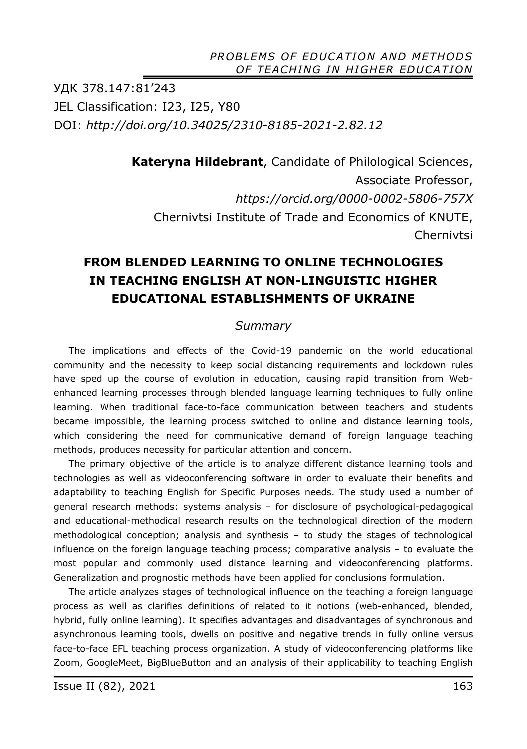УДК 378.147:81'243 JEL Classification: I23, I25, Y80 DOI: *http://doi.org/10.34025/2310-8185-2021-2.82.12* 

> **Kateryna Hildebrant**, Candidate of Philological Sciences, Associate Professor, *https://orcid.org/0000-0002-5806-757X*  Chernivtsi Institute of Trade and Economics of KNUTE, Chernivtsi

## **FROM BLENDED LEARNING TO ONLINE TECHNOLOGIES IN TEACHING ENGLISH AT NON-LINGUISTIC HIGHER EDUCATIONAL ESTABLISHMENTS OF UKRAINE**

#### *Summary*

The implications and effects of the Covid-19 pandemic on the world educational community and the necessity to keep social distancing requirements and lockdown rules have sped up the course of evolution in education, causing rapid transition from Webenhanced learning processes through blended language learning techniques to fully online learning. When traditional face-to-face communication between teachers and students became impossible, the learning process switched to online and distance learning tools, which considering the need for communicative demand of foreign language teaching methods, produces necessity for particular attention and concern.

The primary objective of the article is to analyze different distance learning tools and technologies as well as videoconferencing software in order to evaluate their benefits and adaptability to teaching English for Specific Purposes needs. The study used a number of general research methods: systems analysis – for disclosure of psychological-pedagogical and educational-methodical research results on the technological direction of the modern methodological conception; analysis and synthesis – to study the stages of technological influence on the foreign language teaching process; comparative analysis – to evaluate the most popular and commonly used distance learning and videoconferencing platforms. Generalization and prognostic methods have been applied for conclusions formulation.

The article analyzes stages of technological influence on the teaching a foreign language process as well as clarifies definitions of related to it notions (web-enhanced, blended, hybrid, fully online learning). It specifies advantages and disadvantages of synchronous and asynchronous learning tools, dwells on positive and negative trends in fully online versus face-to-face EFL teaching process organization. A study of videoconferencing platforms like Zoom, GoogleMeet, BigBlueButton and an analysis of their applicability to teaching English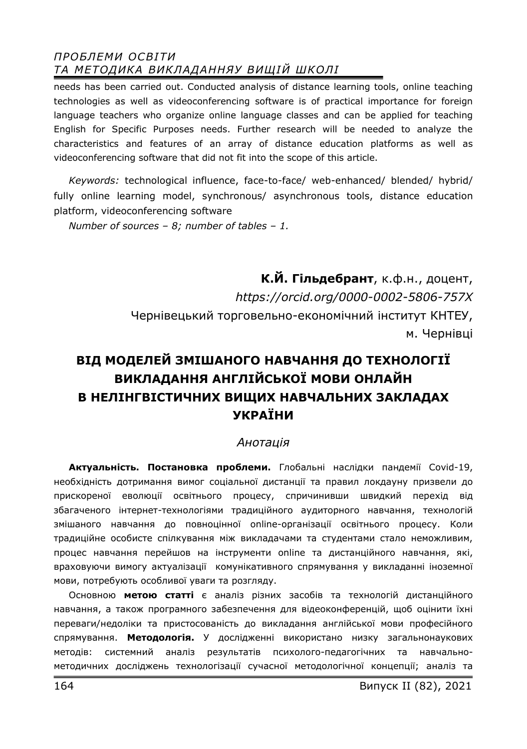needs has been carried out. Conducted analysis of distance learning tools, online teaching technologies as well as videoconferencing software is of practical importance for foreign language teachers who organize online language classes and can be applied for teaching English for Specific Purposes needs. Further research will be needed to analyze the characteristics and features of an array of distance education platforms as well as videoconferencing software that did not fit into the scope of this article.

*Keywords:* technological influence, face-to-face/ web-enhanced/ blended/ hybrid/ fully online learning model, synchronous/ asynchronous tools, distance education platform, videoconferencing software

*Number of sources – 8; number of tables – 1.* 

**К.Й. Гільдебрант**, к.ф.н., доцент, *https://orcid.org/0000-0002-5806-757X*  Чернівецький торговельно-економічний інститут КНТЕУ, м. Чернівці

# **ВІД МОДЕЛЕЙ ЗМІШАНОГО НАВЧАННЯ ДО ТЕХНОЛОГІЇ ВИКЛАДАННЯ АНГЛІЙСЬКОЇ МОВИ ОНЛАЙН В НЕЛІНГВІСТИЧНИХ ВИЩИХ НАВЧАЛЬНИХ ЗАКЛАДАХ УКРАЇНИ**

#### *Анотація*

**Актуальність. Постановка проблеми.** Глобальні наслідки пандемії Covid-19, необхідність дотримання вимог соціальної дистанції та правил локдауну призвели до прискореної еволюції освітнього процесу, спричинивши швидкий перехід від збагаченого інтернет-технологіями традиційного аудиторного навчання, технологій змішаного навчання до повноцінної online-організації освітнього процесу. Коли традиційне особисте спілкування між викладачами та студентами стало неможливим, процес навчання перейшов на інструменти online та дистанційного навчання, які, враховуючи вимогу актуалізації комунікативного спрямування у викладанні іноземної мови, потребують особливої уваги та розгляду.

Основною **метою статті** є аналіз різних засобів та технологій дистанційного навчання, а також програмного забезпечення для відеоконференцій, щоб оцінити їхні переваги/недоліки та пристосованість до викладання англійської мови професійного спрямування. **Методологія.** У дослідженні використано низку загальнонаукових методів: системний аналіз результатів психолого-педагогічних та навчальнометодичних досліджень технологізації сучасної методологічної концепції; аналіз та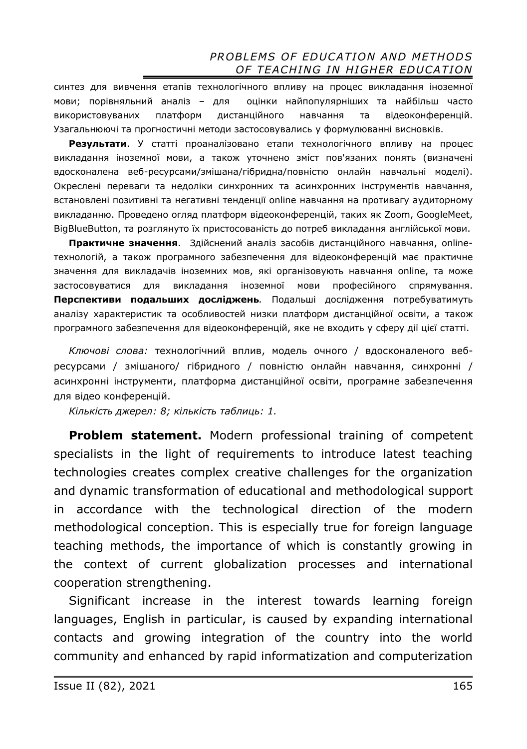синтез для вивчення етапів технологічного впливу на процес викладання іноземної мови; порівняльний аналіз – для оцінки найпопулярніших та найбільш часто використовуваних платформ дистанційного навчання та відеоконференцій. Узагальнюючі та прогностичні методи застосовувались у формулюванні висновків.

**Результати**. У статті проаналізовано етапи технологічного впливу на процес викладання іноземної мови, а також уточнено зміст пов'язаних понять (визначені вдосконалена веб-ресурсами/змішана/гібридна/повністю онлайн навчальні моделі). Окреслені переваги та недоліки синхронних та асинхронних інструментів навчання, встановлені позитивні та негативні тенденції online навчання на противагу аудиторному викладанню. Проведено огляд платформ відеоконференцій, таких як Zoom, GoogleMeet, BigBlueButton, та розглянуто їх пристосованість до потреб викладання англійської мови.

**Практичне значення**. Здійснений аналіз засобів дистанційного навчання, onlineтехнологій, а також програмного забезпечення для відеоконференцій має практичне значення для викладачів іноземних мов, які організовують навчання online, та може застосовуватися для викладання іноземної мови професійного спрямування. **Перспективи подальших досліджень***.* Подальші дослідження потребуватимуть аналізу характеристик та особливостей низки платформ дистанційної освіти, а також програмного забезпечення для відеоконференцій, яке не входить у сферу дії цієї статті.

*Ключові слова:* технологічний вплив, модель очного / вдосконаленого вебресурсами / змішаного/ гібридного / повністю онлайн навчання, синхронні / асинхронні інструменти, платформа дистанційної освіти, програмне забезпечення для відео конференцій.

*Кількість джерел: 8; кількість таблиць: 1.* 

**Problem statement.** Modern professional training of competent specialists in the light of requirements to introduce latest teaching technologies creates complex creative challenges for the organization and dynamic transformation of educational and methodological support in accordance with the technological direction of the modern methodological conception. This is especially true for foreign language teaching methods, the importance of which is constantly growing in the context of current globalization processes and international cooperation strengthening.

Significant increase in the interest towards learning foreign languages, English in particular, is caused by expanding international contacts and growing integration of the country into the world community and enhanced by rapid informatization and computerization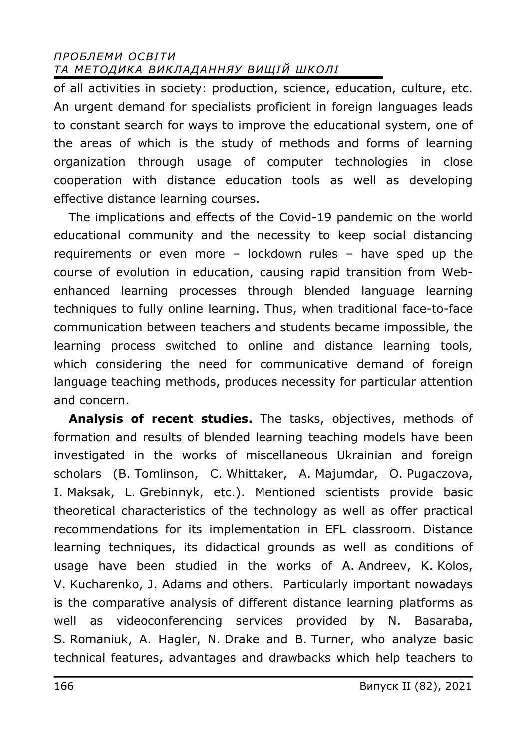of all activities in society: production, science, education, culture, etc. An urgent demand for specialists proficient in foreign languages leads to constant search for ways to improve the educational system, one of the areas of which is the study of methods and forms of learning organization through usage of computer technologies in close cooperation with distance education tools as well as developing effective distance learning courses.

The implications and effects of the Covid-19 pandemic on the world educational community and the necessity to keep social distancing requirements or even more – lockdown rules – have sped up the course of evolution in education, causing rapid transition from Webenhanced learning processes through blended language learning techniques to fully online learning. Thus, when traditional face-to-face communication between teachers and students became impossible, the learning process switched to online and distance learning tools, which considering the need for communicative demand of foreign language teaching methods, produces necessity for particular attention and concern.

**Analysis of recent studies.** The tasks, objectives, methods of formation and results of blended learning teaching models have been investigated in the works of miscellaneous Ukrainian and foreign scholars (B. Tomlinson, C. Whittaker, A. Majumdar, O. Pugaczova, I. Maksak, L. Grebinnyk, etc.). Mentioned scientists provide basic theoretical characteristics of the technology as well as offer practical recommendations for its implementation in EFL classroom. Distance learning techniques, its didactical grounds as well as conditions of usage have been studied in the works of A. Andreev, K. Kolos, V. Kucharenko, J. Adams and others. Particularly important nowadays is the comparative analysis of different distance learning platforms as well as videoconferencing services provided by N. Basaraba, S. Romaniuk, A. Hagler, N. Drake and B. Turner, who analyze basic technical features, advantages and drawbacks which help teachers to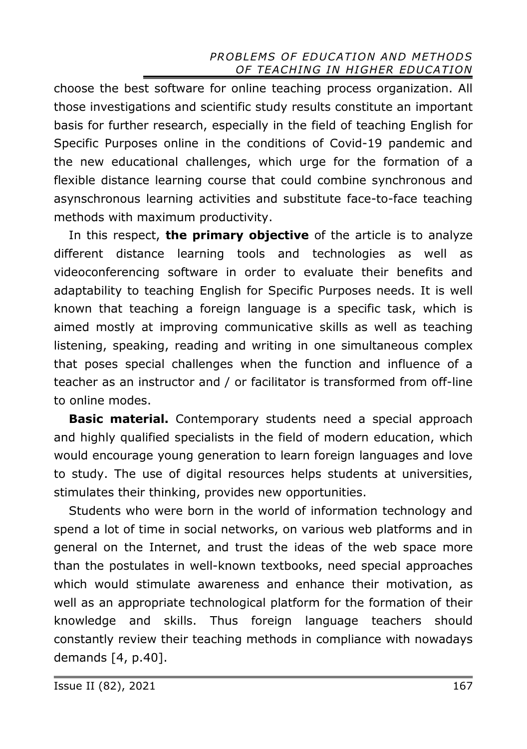choose the best software for online teaching process organization. All those investigations and scientific study results constitute an important basis for further research, especially in the field of teaching English for Specific Purposes online in the conditions of Covid-19 pandemic and the new educational challenges, which urge for the formation of a flexible distance learning course that could combine synchronous and asynschronous learning activities and substitute face-to-face teaching methods with maximum productivity.

In this respect, **the primary objective** of the article is to analyze different distance learning tools and technologies as well as videoconferencing software in order to evaluate their benefits and adaptability to teaching English for Specific Purposes needs. It is well known that teaching a foreign language is a specific task, which is aimed mostly at improving communicative skills as well as teaching listening, speaking, reading and writing in one simultaneous complex that poses special challenges when the function and influence of a teacher as an instructor and / or facilitator is transformed from off-line to online modes.

**Basic material.** Contemporary students need a special approach and highly qualified specialists in the field of modern education, which would encourage young generation to learn foreign languages and love to study. The use of digital resources helps students at universities, stimulates their thinking, provides new opportunities.

Students who were born in the world of information technology and spend a lot of time in social networks, on various web platforms and in general on the Internet, and trust the ideas of the web space more than the postulates in well-known textbooks, need special approaches which would stimulate awareness and enhance their motivation, as well as an appropriate technological platform for the formation of their knowledge and skills. Thus foreign language teachers should constantly review their teaching methods in compliance with nowadays demands [4, p.40].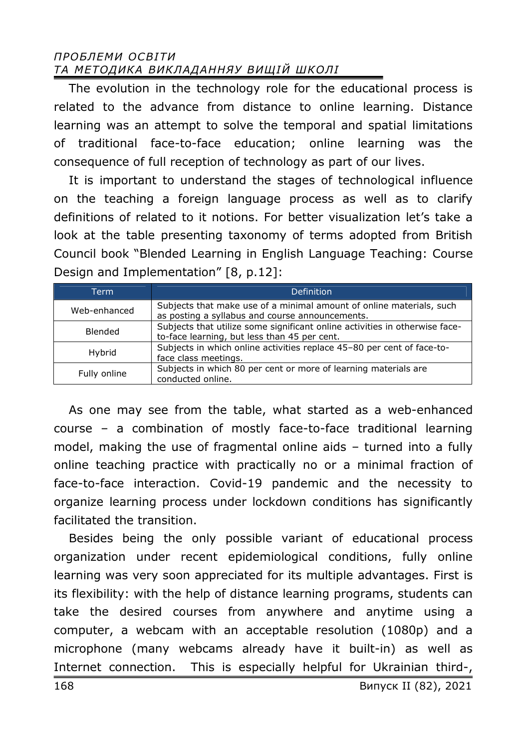The evolution in the technology role for the educational process is related to the advance from distance to online learning. Distance learning was an attempt to solve the temporal and spatial limitations of traditional face-to-face education; online learning was the consequence of full reception of technology as part of our lives.

It is important to understand the stages of technological influence on the teaching a foreign language process as well as to clarify definitions of related to it notions. For better visualization let's take a look at the table presenting taxonomy of terms adopted from British Council book "Blended Learning in English Language Teaching: Course Design and Implementation" [8, p.12]:

| <b>Term</b>  | Definition                                                                                                                  |
|--------------|-----------------------------------------------------------------------------------------------------------------------------|
| Web-enhanced | Subjects that make use of a minimal amount of online materials, such<br>as posting a syllabus and course announcements.     |
| Blended      | Subjects that utilize some significant online activities in otherwise face-<br>to-face learning, but less than 45 per cent. |
| Hybrid       | Subjects in which online activities replace 45-80 per cent of face-to-<br>face class meetings.                              |
| Fully online | Subjects in which 80 per cent or more of learning materials are<br>conducted online.                                        |

As one may see from the table, what started as a web-enhanced course – a combination of mostly face-to-face traditional learning model, making the use of fragmental online aids – turned into a fully online teaching practice with practically no or a minimal fraction of face-to-face interaction. Covid-19 pandemic and the necessity to organize learning process under lockdown conditions has significantly facilitated the transition.

Besides being the only possible variant of educational process organization under recent epidemiological conditions, fully online learning was very soon appreciated for its multiple advantages. First is its flexibility: with the help of distance learning programs, students can take the desired courses from anywhere and anytime using a computer, a webcam with an acceptable resolution (1080p) and a microphone (many webcams already have it built-in) as well as Internet connection. This is especially helpful for Ukrainian third-,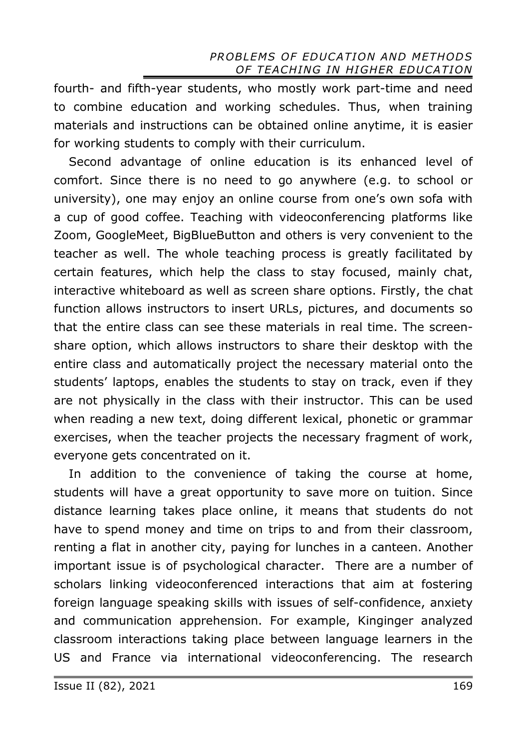fourth- and fifth-year students, who mostly work part-time and need to combine education and working schedules. Thus, when training materials and instructions can be obtained online anytime, it is easier for working students to comply with their curriculum.

Second advantage of online education is its enhanced level of comfort. Since there is no need to go anywhere (e.g. to school or university), one may enjoy an online course from one's own sofa with a cup of good coffee. Teaching with videoconferencing platforms like Zoom, GoogleMeet, BigBlueButton and others is very convenient to the teacher as well. The whole teaching process is greatly facilitated by certain features, which help the class to stay focused, mainly chat, interactive whiteboard as well as screen share options. Firstly, the chat function allows instructors to insert URLs, pictures, and documents so that the entire class can see these materials in real time. The screenshare option, which allows instructors to share their desktop with the entire class and automatically project the necessary material onto the students' laptops, enables the students to stay on track, even if they are not physically in the class with their instructor. This can be used when reading a new text, doing different lexical, phonetic or grammar exercises, when the teacher projects the necessary fragment of work, everyone gets concentrated on it.

In addition to the convenience of taking the course at home, students will have a great opportunity to save more on tuition. Since distance learning takes place online, it means that students do not have to spend money and time on trips to and from their classroom, renting a flat in another city, paying for lunches in a canteen. Another important issue is of psychological character. There are a number of scholars linking videoconferenced interactions that aim at fostering foreign language speaking skills with issues of self-confidence, anxiety and communication apprehension. For example, Kinginger analyzed classroom interactions taking place between language learners in the US and France via international videoconferencing. The research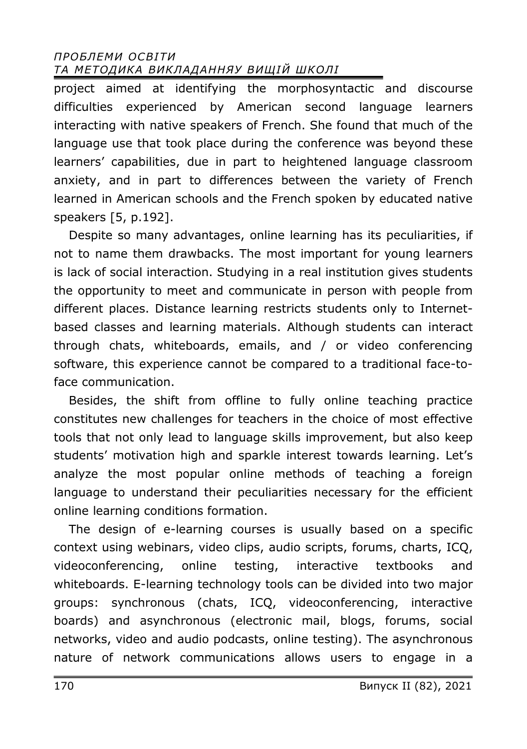project aimed at identifying the morphosyntactic and discourse difficulties experienced by American second language learners interacting with native speakers of French. She found that much of the language use that took place during the conference was beyond these learners' capabilities, due in part to heightened language classroom anxiety, and in part to differences between the variety of French learned in American schools and the French spoken by educated native speakers [5, p.192].

Despite so many advantages, online learning has its peculiarities, if not to name them drawbacks. The most important for young learners is lack of social interaction. Studying in a real institution gives students the opportunity to meet and communicate in person with people from different places. Distance learning restricts students only to Internetbased classes and learning materials. Although students can interact through chats, whiteboards, emails, and / or video conferencing software, this experience cannot be compared to a traditional face-toface communication.

Besides, the shift from offline to fully online teaching practice constitutes new challenges for teachers in the choice of most effective tools that not only lead to language skills improvement, but also keep students' motivation high and sparkle interest towards learning. Let's analyze the most popular online methods of teaching a foreign language to understand their peculiarities necessary for the efficient online learning conditions formation.

The design of e-learning courses is usually based on a specific context using webinars, video clips, audio scripts, forums, charts, ICQ, videoconferencing, online testing, interactive textbooks and whiteboards. E-learning technology tools can be divided into two major groups: synchronous (chats, ICQ, videoconferencing, interactive boards) and asynchronous (electronic mail, blogs, forums, social networks, video and audio podcasts, online testing). The asynchronous nature of network communications allows users to engage in a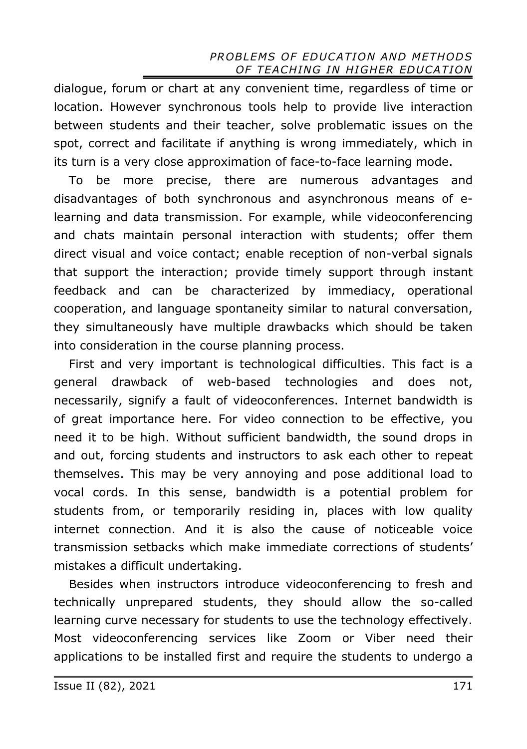dialogue, forum or chart at any convenient time, regardless of time or location. However synchronous tools help to provide live interaction between students and their teacher, solve problematic issues on the spot, correct and facilitate if anything is wrong immediately, which in its turn is a very close approximation of face-to-face learning mode.

To be more precise, there are numerous advantages and disadvantages of both synchronous and asynchronous means of elearning and data transmission. For example, while videoconferencing and chats maintain personal interaction with students; offer them direct visual and voice contact; enable reception of non-verbal signals that support the interaction; provide timely support through instant feedback and can be characterized by immediacy, operational cooperation, and language spontaneity similar to natural conversation, they simultaneously have multiple drawbacks which should be taken into consideration in the course planning process.

First and very important is technological difficulties. This fact is a general drawback of web-based technologies and does not, necessarily, signify a fault of videoconferences. Internet bandwidth is of great importance here. For video connection to be effective, you need it to be high. Without sufficient bandwidth, the sound drops in and out, forcing students and instructors to ask each other to repeat themselves. This may be very annoying and pose additional load to vocal cords. In this sense, bandwidth is a potential problem for students from, or temporarily residing in, places with low quality internet connection. And it is also the cause of noticeable voice transmission setbacks which make immediate corrections of students' mistakes a difficult undertaking.

Besides when instructors introduce videoconferencing to fresh and technically unprepared students, they should allow the so-called learning curve necessary for students to use the technology effectively. Most videoconferencing services like Zoom or Viber need their applications to be installed first and require the students to undergo a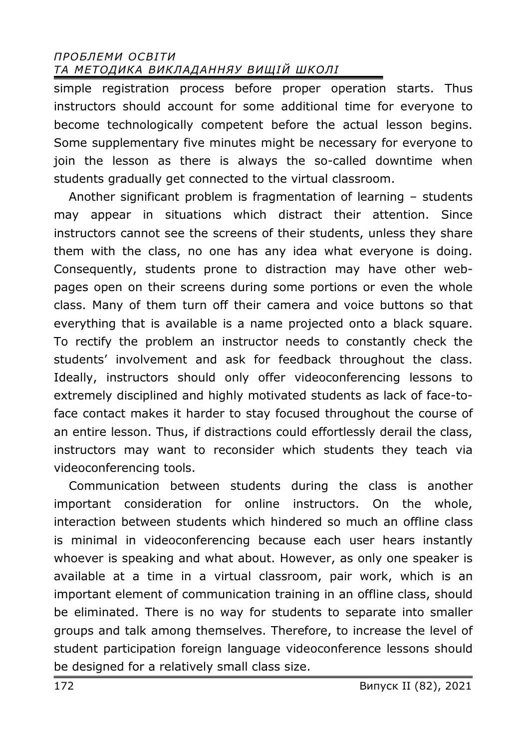simple registration process before proper operation starts. Thus instructors should account for some additional time for everyone to become technologically competent before the actual lesson begins. Some supplementary five minutes might be necessary for everyone to join the lesson as there is always the so-called downtime when students gradually get connected to the virtual classroom.

Another significant problem is fragmentation of learning – students may appear in situations which distract their attention. Since instructors cannot see the screens of their students, unless they share them with the class, no one has any idea what everyone is doing. Consequently, students prone to distraction may have other webpages open on their screens during some portions or even the whole class. Many of them turn off their camera and voice buttons so that everything that is available is a name projected onto a black square. To rectify the problem an instructor needs to constantly check the students' involvement and ask for feedback throughout the class. Ideally, instructors should only offer videoconferencing lessons to extremely disciplined and highly motivated students as lack of face-toface contact makes it harder to stay focused throughout the course of an entire lesson. Thus, if distractions could effortlessly derail the class, instructors may want to reconsider which students they teach via videoconferencing tools.

Communication between students during the class is another important consideration for online instructors. On the whole, interaction between students which hindered so much an offline class is minimal in videoconferencing because each user hears instantly whoever is speaking and what about. However, as only one speaker is available at a time in a virtual classroom, pair work, which is an important element of communication training in an offline class, should be eliminated. There is no way for students to separate into smaller groups and talk among themselves. Therefore, to increase the level of student participation foreign language videoconference lessons should be designed for a relatively small class size.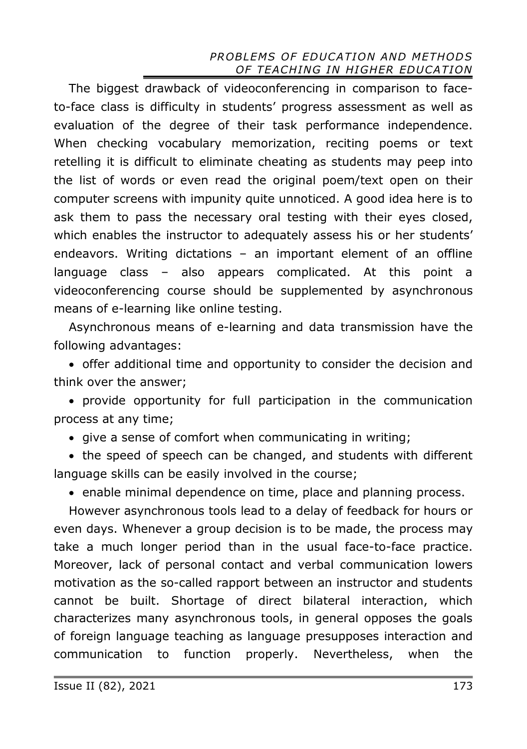The biggest drawback of videoconferencing in comparison to faceto-face class is difficulty in students' progress assessment as well as evaluation of the degree of their task performance independence. When checking vocabulary memorization, reciting poems or text retelling it is difficult to eliminate cheating as students may peep into the list of words or even read the original poem/text open on their computer screens with impunity quite unnoticed. A good idea here is to ask them to pass the necessary oral testing with their eyes closed, which enables the instructor to adequately assess his or her students' endeavors. Writing dictations – an important element of an offline language class – also appears complicated. At this point a videoconferencing course should be supplemented by asynchronous means of e-learning like online testing.

Asynchronous means of e-learning and data transmission have the following advantages:

· offer additional time and opportunity to consider the decision and think over the answer;

· provide opportunity for full participation in the communication process at any time;

· give a sense of comfort when communicating in writing;

· the speed of speech can be changed, and students with different language skills can be easily involved in the course;

· enable minimal dependence on time, place and planning process.

However asynchronous tools lead to a delay of feedback for hours or even days. Whenever a group decision is to be made, the process may take a much longer period than in the usual face-to-face practice. Moreover, lack of personal contact and verbal communication lowers motivation as the so-called rapport between an instructor and students cannot be built. Shortage of direct bilateral interaction, which characterizes many asynchronous tools, in general opposes the goals of foreign language teaching as language presupposes interaction and communication to function properly. Nevertheless, when the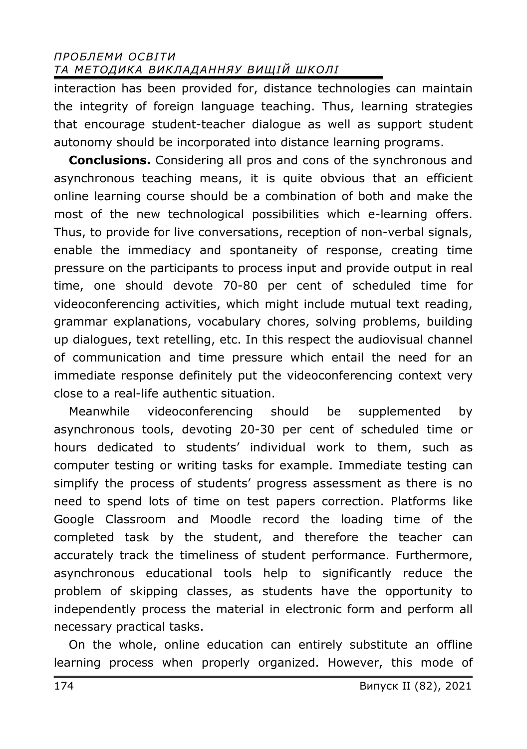interaction has been provided for, distance technologies can maintain the integrity of foreign language teaching. Thus, learning strategies that encourage student-teacher dialogue as well as support student autonomy should be incorporated into distance learning programs.

**Conclusions.** Considering all pros and cons of the synchronous and asynchronous teaching means, it is quite obvious that an efficient online learning course should be a combination of both and make the most of the new technological possibilities which e-learning offers. Thus, to provide for live conversations, reception of non-verbal signals, enable the immediacy and spontaneity of response, creating time pressure on the participants to process input and provide output in real time, one should devote 70-80 per cent of scheduled time for videoconferencing activities, which might include mutual text reading, grammar explanations, vocabulary chores, solving problems, building up dialogues, text retelling, etc. In this respect the audiovisual channel of communication and time pressure which entail the need for an immediate response definitely put the videoconferencing context very close to a real-life authentic situation.

Meanwhile videoconferencing should be supplemented by asynchronous tools, devoting 20-30 per cent of scheduled time or hours dedicated to students' individual work to them, such as computer testing or writing tasks for example. Immediate testing can simplify the process of students' progress assessment as there is no need to spend lots of time on test papers correction. Platforms like Google Classroom and Moodle record the loading time of the completed task by the student, and therefore the teacher can accurately track the timeliness of student performance. Furthermore, asynchronous educational tools help to significantly reduce the problem of skipping classes, as students have the opportunity to independently process the material in electronic form and perform all necessary practical tasks.

On the whole, online education can entirely substitute an offline learning process when properly organized. However, this mode of